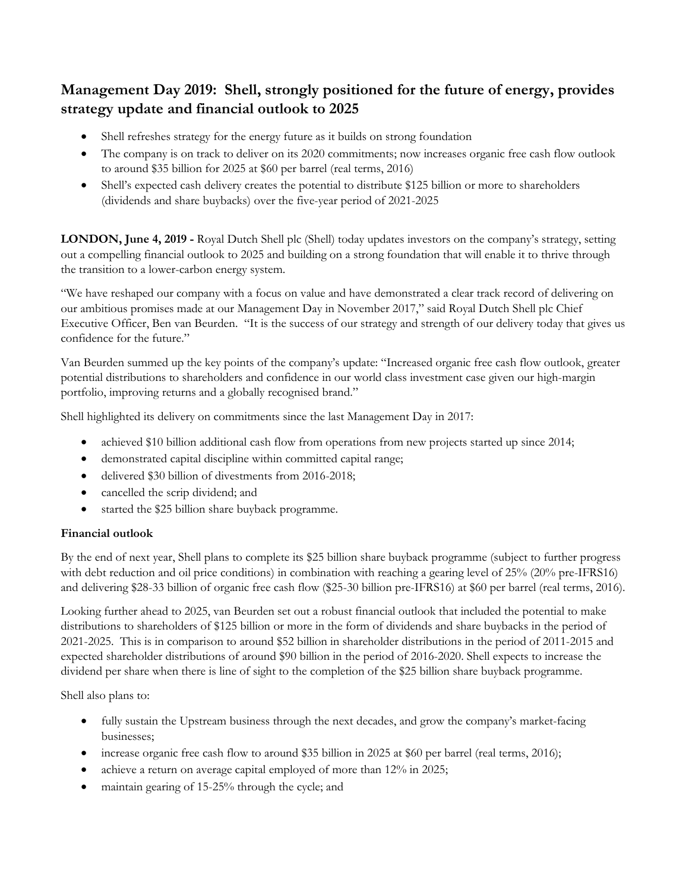# **Management Day 2019: Shell, strongly positioned for the future of energy, provides strategy update and financial outlook to 2025**

- Shell refreshes strategy for the energy future as it builds on strong foundation
- The company is on track to deliver on its 2020 commitments; now increases organic free cash flow outlook to around \$35 billion for 2025 at \$60 per barrel (real terms, 2016)
- Shell's expected cash delivery creates the potential to distribute \$125 billion or more to shareholders (dividends and share buybacks) over the five-year period of 2021-2025

**LONDON, June 4, 2019 -** Royal Dutch Shell plc (Shell) today updates investors on the company's strategy, setting out a compelling financial outlook to 2025 and building on a strong foundation that will enable it to thrive through the transition to a lower-carbon energy system.

"We have reshaped our company with a focus on value and have demonstrated a clear track record of delivering on our ambitious promises made at our Management Day in November 2017," said Royal Dutch Shell plc Chief Executive Officer, Ben van Beurden. "It is the success of our strategy and strength of our delivery today that gives us confidence for the future."

Van Beurden summed up the key points of the company's update: "Increased organic free cash flow outlook, greater potential distributions to shareholders and confidence in our world class investment case given our high-margin portfolio, improving returns and a globally recognised brand."

Shell highlighted its delivery on commitments since the last Management Day in 2017:

- achieved \$10 billion additional cash flow from operations from new projects started up since 2014;
- demonstrated capital discipline within committed capital range;
- delivered \$30 billion of divestments from 2016-2018;
- cancelled the scrip dividend; and
- started the \$25 billion share buyback programme.

### **Financial outlook**

By the end of next year, Shell plans to complete its \$25 billion share buyback programme (subject to further progress with debt reduction and oil price conditions) in combination with reaching a gearing level of 25% (20% pre-IFRS16) and delivering \$28-33 billion of organic free cash flow (\$25-30 billion pre-IFRS16) at \$60 per barrel (real terms, 2016).

Looking further ahead to 2025, van Beurden set out a robust financial outlook that included the potential to make distributions to shareholders of \$125 billion or more in the form of dividends and share buybacks in the period of 2021-2025. This is in comparison to around \$52 billion in shareholder distributions in the period of 2011-2015 and expected shareholder distributions of around \$90 billion in the period of 2016-2020. Shell expects to increase the dividend per share when there is line of sight to the completion of the \$25 billion share buyback programme.

Shell also plans to:

- fully sustain the Upstream business through the next decades, and grow the company's market-facing businesses;
- increase organic free cash flow to around \$35 billion in 2025 at \$60 per barrel (real terms, 2016);
- achieve a return on average capital employed of more than 12% in 2025;
- maintain gearing of 15-25% through the cycle; and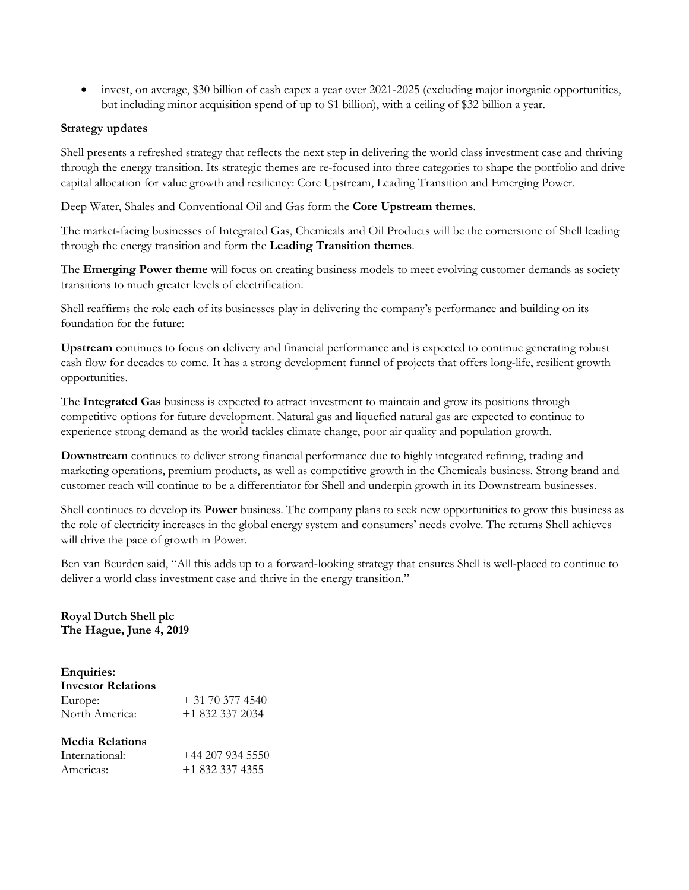• invest, on average, \$30 billion of cash capex a year over 2021-2025 (excluding major inorganic opportunities, but including minor acquisition spend of up to \$1 billion), with a ceiling of \$32 billion a year.

#### **Strategy updates**

Shell presents a refreshed strategy that reflects the next step in delivering the world class investment case and thriving through the energy transition. Its strategic themes are re-focused into three categories to shape the portfolio and drive capital allocation for value growth and resiliency: Core Upstream, Leading Transition and Emerging Power.

Deep Water, Shales and Conventional Oil and Gas form the **Core Upstream themes**.

The market-facing businesses of Integrated Gas, Chemicals and Oil Products will be the cornerstone of Shell leading through the energy transition and form the **Leading Transition themes**.

The **Emerging Power theme** will focus on creating business models to meet evolving customer demands as society transitions to much greater levels of electrification.

Shell reaffirms the role each of its businesses play in delivering the company's performance and building on its foundation for the future:

**Upstream** continues to focus on delivery and financial performance and is expected to continue generating robust cash flow for decades to come. It has a strong development funnel of projects that offers long-life, resilient growth opportunities.

The **Integrated Gas** business is expected to attract investment to maintain and grow its positions through competitive options for future development. Natural gas and liquefied natural gas are expected to continue to experience strong demand as the world tackles climate change, poor air quality and population growth.

**Downstream** continues to deliver strong financial performance due to highly integrated refining, trading and marketing operations, premium products, as well as competitive growth in the Chemicals business. Strong brand and customer reach will continue to be a differentiator for Shell and underpin growth in its Downstream businesses.

Shell continues to develop its **Power** business. The company plans to seek new opportunities to grow this business as the role of electricity increases in the global energy system and consumers' needs evolve. The returns Shell achieves will drive the pace of growth in Power.

Ben van Beurden said, "All this adds up to a forward-looking strategy that ensures Shell is well-placed to continue to deliver a world class investment case and thrive in the energy transition."

**Royal Dutch Shell plc The Hague, June 4, 2019**

## **Enquiries:**

| <b>Investor Relations</b> |                 |
|---------------------------|-----------------|
| Europe:                   | $+31703774540$  |
| North America:            | $+18323372034$  |
| <b>Media Relations</b>    |                 |
| International:            | $+442079345550$ |
| Americas:                 | $+18323374355$  |